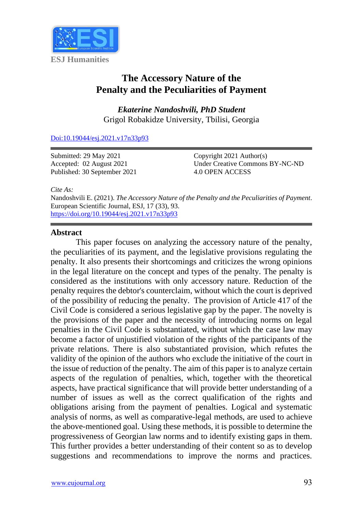

# **The Accessory Nature of the Penalty and the Peculiarities of Payment**

*Ekaterine Nandoshvili, PhD Student* Grigol Robakidze University, Tbilisi, Georgia

[Doi:10.19044/esj.2021.v17n33p93](https://doi.org/10.19044/esj.2021.v17n33p93)

Submitted: 29 May 2021 Accepted: 02 August 2021 Published: 30 September 2021 Copyright 2021 Author(s) Under Creative Commons BY-NC-ND 4.0 OPEN ACCESS

*Cite As:*

Nandoshvili E. (2021). *The Accessory Nature of the Penalty and the Peculiarities of Payment.* European Scientific Journal, ESJ, 17 (33), 93. <https://doi.org/10.19044/esj.2021.v17n33p93>

# **Abstract**

This paper focuses on analyzing the accessory nature of the penalty, the peculiarities of its payment, and the legislative provisions regulating the penalty. It also presents their shortcomings and criticizes the wrong opinions in the legal literature on the concept and types of the penalty. The penalty is considered as the institutions with only accessory nature. Reduction of the penalty requires the debtor's counterclaim, without which the court is deprived of the possibility of reducing the penalty. The provision of Article 417 of the Civil Code is considered a serious legislative gap by the paper. The novelty is the provisions of the paper and the necessity of introducing norms on legal penalties in the Civil Code is substantiated, without which the case law may become a factor of unjustified violation of the rights of the participants of the private relations. There is also substantiated provision, which refutes the validity of the opinion of the authors who exclude the initiative of the court in the issue of reduction of the penalty. The aim of this paper is to analyze certain aspects of the regulation of penalties, which, together with the theoretical aspects, have practical significance that will provide better understanding of a number of issues as well as the correct qualification of the rights and obligations arising from the payment of penalties. Logical and systematic analysis of norms, as well as comparative-legal methods, are used to achieve the above-mentioned goal. Using these methods, it is possible to determine the progressiveness of Georgian law norms and to identify existing gaps in them. This further provides a better understanding of their content so as to develop suggestions and recommendations to improve the norms and practices.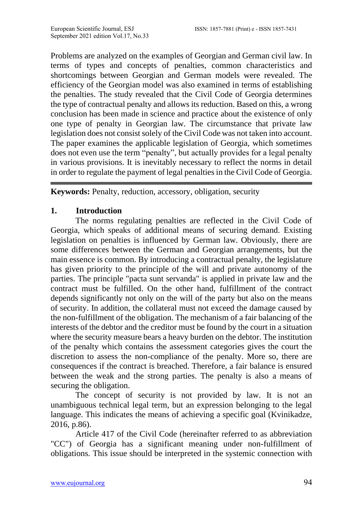Problems are analyzed on the examples of Georgian and German civil law. In terms of types and concepts of penalties, common characteristics and shortcomings between Georgian and German models were revealed. The efficiency of the Georgian model was also examined in terms of establishing the penalties. The study revealed that the Civil Code of Georgia determines the type of contractual penalty and allows its reduction. Based on this, a wrong conclusion has been made in science and practice about the existence of only one type of penalty in Georgian law. The circumstance that private law legislation does not consist solely of the Civil Code was not taken into account. The paper examines the applicable legislation of Georgia, which sometimes does not even use the term "penalty", but actually provides for a legal penalty in various provisions. It is inevitably necessary to reflect the norms in detail in order to regulate the payment of legal penalties in the Civil Code of Georgia.

**Keywords:** Penalty, reduction, accessory, obligation, security

# **1. Introduction**

The norms regulating penalties are reflected in the Civil Code of Georgia, which speaks of additional means of securing demand. Existing legislation on penalties is influenced by German law. Obviously, there are some differences between the German and Georgian arrangements, but the main essence is common. By introducing a contractual penalty, the legislature has given priority to the principle of the will and private autonomy of the parties. The principle "pacta sunt servanda" is applied in private law and the contract must be fulfilled. On the other hand, fulfillment of the contract depends significantly not only on the will of the party but also on the means of security. In addition, the collateral must not exceed the damage caused by the non-fulfillment of the obligation. The mechanism of a fair balancing of the interests of the debtor and the creditor must be found by the court in a situation where the security measure bears a heavy burden on the debtor. The institution of the penalty which contains the assessment categories gives the court the discretion to assess the non-compliance of the penalty. More so, there are consequences if the contract is breached. Therefore, a fair balance is ensured between the weak and the strong parties. The penalty is also a means of securing the obligation.

The concept of security is not provided by law. It is not an unambiguous technical legal term, but an expression belonging to the legal language. This indicates the means of achieving a specific goal (Kvinikadze, 2016, p.86).

Article 417 of the Civil Code (hereinafter referred to as abbreviation "CC") of Georgia has a significant meaning under non-fulfillment of obligations. This issue should be interpreted in the systemic connection with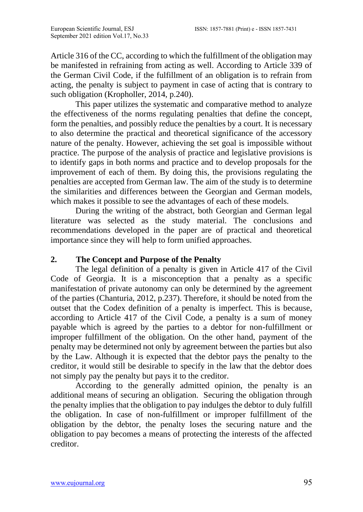Article 316 of the CC, according to which the fulfillment of the obligation may be manifested in refraining from acting as well. According to Article 339 of the German Civil Code, if the fulfillment of an obligation is to refrain from acting, the penalty is subject to payment in case of acting that is contrary to such obligation (Kropholler, 2014, p.240).

This paper utilizes the systematic and comparative method to analyze the effectiveness of the norms regulating penalties that define the concept, form the penalties, and possibly reduce the penalties by a court. It is necessary to also determine the practical and theoretical significance of the accessory nature of the penalty. However, achieving the set goal is impossible without practice. The purpose of the analysis of practice and legislative provisions is to identify gaps in both norms and practice and to develop proposals for the improvement of each of them. By doing this, the provisions regulating the penalties are accepted from German law. The aim of the study is to determine the similarities and differences between the Georgian and German models, which makes it possible to see the advantages of each of these models.

During the writing of the abstract, both Georgian and German legal literature was selected as the study material. The conclusions and recommendations developed in the paper are of practical and theoretical importance since they will help to form unified approaches.

# **2. The Concept and Purpose of the Penalty**

The legal definition of a penalty is given in Article 417 of the Civil Code of Georgia. It is a misconception that a penalty as a specific manifestation of private autonomy can only be determined by the agreement of the parties (Chanturia, 2012, p.237). Therefore, it should be noted from the outset that the Codex definition of a penalty is imperfect. This is because, according to Article 417 of the Civil Code, a penalty is a sum of money payable which is agreed by the parties to a debtor for non-fulfillment or improper fulfillment of the obligation. On the other hand, payment of the penalty may be determined not only by agreement between the parties but also by the Law. Although it is expected that the debtor pays the penalty to the creditor, it would still be desirable to specify in the law that the debtor does not simply pay the penalty but pays it to the creditor.

According to the generally admitted opinion, the penalty is an additional means of securing an obligation. Securing the obligation through the penalty implies that the obligation to pay indulges the debtor to duly fulfill the obligation. In case of non-fulfillment or improper fulfillment of the obligation by the debtor, the penalty loses the securing nature and the obligation to pay becomes a means of protecting the interests of the affected creditor.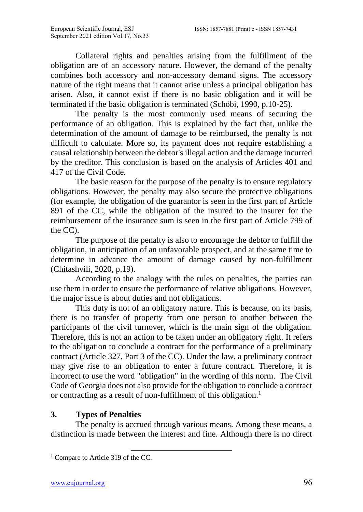Collateral rights and penalties arising from the fulfillment of the obligation are of an accessory nature. However, the demand of the penalty combines both accessory and non-accessory demand signs. The accessory nature of the right means that it cannot arise unless a principal obligation has arisen. Also, it cannot exist if there is no basic obligation and it will be terminated if the basic obligation is terminated (Schöbi, 1990, p.10-25).

The penalty is the most commonly used means of securing the performance of an obligation. This is explained by the fact that, unlike the determination of the amount of damage to be reimbursed, the penalty is not difficult to calculate. More so, its payment does not require establishing a causal relationship between the debtor's illegal action and the damage incurred by the creditor. This conclusion is based on the analysis of Articles 401 and 417 of the Civil Code.

The basic reason for the purpose of the penalty is to ensure regulatory obligations. However, the penalty may also secure the protective obligations (for example, the obligation of the guarantor is seen in the first part of Article 891 of the CC, while the obligation of the insured to the insurer for the reimbursement of the insurance sum is seen in the first part of Article 799 of the CC).

The purpose of the penalty is also to encourage the debtor to fulfill the obligation, in anticipation of an unfavorable prospect, and at the same time to determine in advance the amount of damage caused by non-fulfillment (Chitashvili, 2020, p.19).

According to the analogy with the rules on penalties, the parties can use them in order to ensure the performance of relative obligations. However, the major issue is about duties and not obligations.

This duty is not of an obligatory nature. This is because, on its basis, there is no transfer of property from one person to another between the participants of the civil turnover, which is the main sign of the obligation. Therefore, this is not an action to be taken under an obligatory right. It refers to the obligation to conclude a contract for the performance of a preliminary contract (Article 327, Part 3 of the CC). Under the law, a preliminary contract may give rise to an obligation to enter a future contract. Therefore, it is incorrect to use the word "obligation" in the wording of this norm. The Civil Code of Georgia does not also provide for the obligation to conclude a contract or contracting as a result of non-fulfillment of this obligation.<sup>1</sup>

# **3. Types of Penalties**

The penalty is accrued through various means. Among these means, a distinction is made between the interest and fine. Although there is no direct

<sup>&</sup>lt;sup>1</sup> Compare to Article 319 of the CC.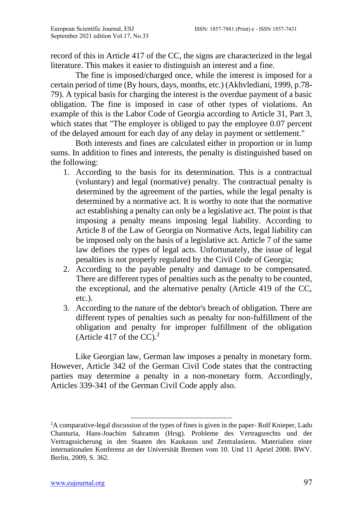record of this in Article 417 of the CC, the signs are characterized in the legal literature. This makes it easier to distinguish an interest and a fine.

The fine is imposed/charged once, while the interest is imposed for a certain period of time (By hours, days, months, etc.) (Akhvlediani, 1999, p.78- 79). A typical basis for charging the interest is the overdue payment of a basic obligation. The fine is imposed in case of other types of violations. An example of this is the Labor Code of Georgia according to Article 31, Part 3, which states that "The employer is obliged to pay the employee 0.07 percent of the delayed amount for each day of any delay in payment or settlement."

Both interests and fines are calculated either in proportion or in lump sums. In addition to fines and interests, the penalty is distinguished based on the following:

- 1. According to the basis for its determination. This is a contractual (voluntary) and legal (normative) penalty. The contractual penalty is determined by the agreement of the parties, while the legal penalty is determined by a normative act. It is worthy to note that the normative act establishing a penalty can only be a legislative act. The point is that imposing a penalty means imposing legal liability. According to Article 8 of the Law of Georgia on Normative Acts, legal liability can be imposed only on the basis of a legislative act. Article 7 of the same law defines the types of legal acts. Unfortunately, the issue of legal penalties is not properly regulated by the Civil Code of Georgia;
- 2. According to the payable penalty and damage to be compensated. There are different types of penalties such as the penalty to be counted, the exceptional, and the alternative penalty (Article 419 of the CC, etc.).
- 3. According to the nature of the debtor's breach of obligation. There are different types of penalties such as penalty for non-fulfillment of the obligation and penalty for improper fulfillment of the obligation (Article 417 of the CC).<sup>2</sup>

Like Georgian law, German law imposes a penalty in monetary form. However, Article 342 of the German Civil Code states that the contracting parties may determine a penalty in a non-monetary form. Accordingly, Articles 339-341 of the German Civil Code apply also.

<sup>&</sup>lt;sup>2</sup>A comparative-legal discussion of the types of fines is given in the paper-Rolf Knieper, Lado Chanturia, Hans-Joachim Sahramm (Hrsg). Probleme des Vertragsrechts und der Vertragssicherung in den Staaten des Kaukasus und Zentralasiens. Materialien einer internationalen Konferenz an der Universität Bremen vom 10. Und 11 Apriel 2008. BWV. Berlin, 2009, S. 362.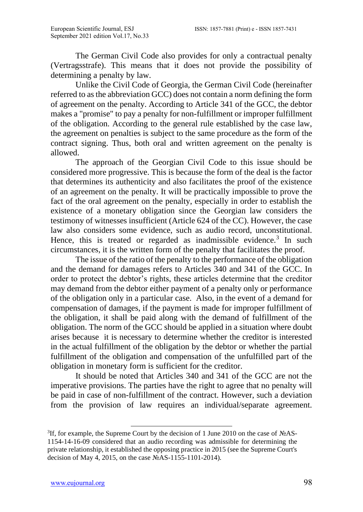The German Civil Code also provides for only a contractual penalty (Vertragsstrafe). This means that it does not provide the possibility of determining a penalty by law.

Unlike the Civil Code of Georgia, the German Civil Code (hereinafter referred to as the abbreviation GCC) does not contain a norm defining the form of agreement on the penalty. According to Article 341 of the GCC, the debtor makes a "promise" to pay a penalty for non-fulfillment or improper fulfillment of the obligation. According to the general rule established by the case law, the agreement on penalties is subject to the same procedure as the form of the contract signing. Thus, both oral and written agreement on the penalty is allowed.

The approach of the Georgian Civil Code to this issue should be considered more progressive. This is because the form of the deal is the factor that determines its authenticity and also facilitates the proof of the existence of an agreement on the penalty. It will be practically impossible to prove the fact of the oral agreement on the penalty, especially in order to establish the existence of a monetary obligation since the Georgian law considers the testimony of witnesses insufficient (Article 624 of the CC). However, the case law also considers some evidence, such as audio record, unconstitutional. Hence, this is treated or regarded as inadmissible evidence.<sup>3</sup> In such circumstances, it is the written form of the penalty that facilitates the proof.

The issue of the ratio of the penalty to the performance of the obligation and the demand for damages refers to Articles 340 and 341 of the GCC. In order to protect the debtor's rights, these articles determine that the creditor may demand from the debtor either payment of a penalty only or performance of the obligation only in a particular case. Also, in the event of a demand for compensation of damages, if the payment is made for improper fulfillment of the obligation, it shall be paid along with the demand of fulfillment of the obligation. The norm of the GCC should be applied in a situation where doubt arises because it is necessary to determine whether the creditor is interested in the actual fulfillment of the obligation by the debtor or whether the partial fulfillment of the obligation and compensation of the unfulfilled part of the obligation in monetary form is sufficient for the creditor.

It should be noted that Articles 340 and 341 of the GCC are not the imperative provisions. The parties have the right to agree that no penalty will be paid in case of non-fulfillment of the contract. However, such a deviation from the provision of law requires an individual/separate agreement.

<sup>&</sup>lt;sup>3</sup>If, for example, the Supreme Court by the decision of 1 June 2010 on the case of №AS-1154-14-16-09 considered that an audio recording was admissible for determining the private relationship, it established the opposing practice in 2015 (see the Supreme Court's decision of May 4, 2015, on the case №AS-1155-1101-2014).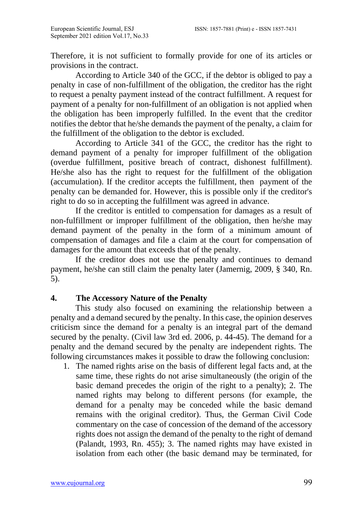Therefore, it is not sufficient to formally provide for one of its articles or provisions in the contract.

According to Article 340 of the GCC, if the debtor is obliged to pay a penalty in case of non-fulfillment of the obligation, the creditor has the right to request a penalty payment instead of the contract fulfillment. A request for payment of a penalty for non-fulfillment of an obligation is not applied when the obligation has been improperly fulfilled. In the event that the creditor notifies the debtor that he/she demands the payment of the penalty, a claim for the fulfillment of the obligation to the debtor is excluded.

According to Article 341 of the GCC, the creditor has the right to demand payment of a penalty for improper fulfillment of the obligation (overdue fulfillment, positive breach of contract, dishonest fulfillment). He/she also has the right to request for the fulfillment of the obligation (accumulation). If the creditor accepts the fulfillment, then payment of the penalty can be demanded for. However, this is possible only if the creditor's right to do so in accepting the fulfillment was agreed in advance.

If the creditor is entitled to compensation for damages as a result of non-fulfillment or improper fulfillment of the obligation, then he/she may demand payment of the penalty in the form of a minimum amount of compensation of damages and file a claim at the court for compensation of damages for the amount that exceeds that of the penalty.

If the creditor does not use the penalty and continues to demand payment, he/she can still claim the penalty later (Jamernig, 2009, § 340, Rn. 5).

## **4. The Accessory Nature of the Penalty**

This study also focused on examining the relationship between a penalty and a demand secured by the penalty. In this case, the opinion deserves criticism since the demand for a penalty is an integral part of the demand secured by the penalty. (Civil law 3rd ed. 2006, p. 44-45). The demand for a penalty and the demand secured by the penalty are independent rights. The following circumstances makes it possible to draw the following conclusion:

1. The named rights arise on the basis of different legal facts and, at the same time, these rights do not arise simultaneously (the origin of the basic demand precedes the origin of the right to a penalty); 2. The named rights may belong to different persons (for example, the demand for a penalty may be conceded while the basic demand remains with the original creditor). Thus, the German Civil Code commentary on the case of concession of the demand of the accessory rights does not assign the demand of the penalty to the right of demand (Palandt, 1993, Rn. 455); 3. The named rights may have existed in isolation from each other (the basic demand may be terminated, for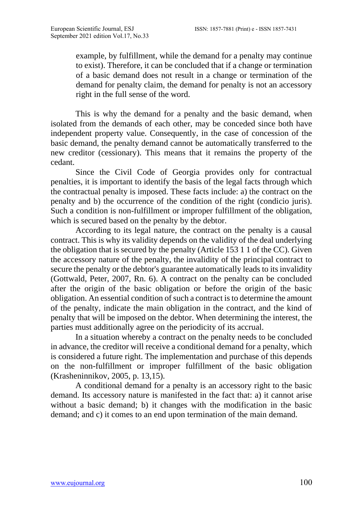example, by fulfillment, while the demand for a penalty may continue to exist). Therefore, it can be concluded that if a change or termination of a basic demand does not result in a change or termination of the demand for penalty claim, the demand for penalty is not an accessory right in the full sense of the word.

This is why the demand for a penalty and the basic demand, when isolated from the demands of each other, may be conceded since both have independent property value. Consequently, in the case of concession of the basic demand, the penalty demand cannot be automatically transferred to the new creditor (cessionary). This means that it remains the property of the cedant.

Since the Civil Code of Georgia provides only for contractual penalties, it is important to identify the basis of the legal facts through which the contractual penalty is imposed. These facts include: a) the contract on the penalty and b) the occurrence of the condition of the right (condicio juris). Such a condition is non-fulfillment or improper fulfillment of the obligation, which is secured based on the penalty by the debtor.

According to its legal nature, the contract on the penalty is a causal contract. This is why its validity depends on the validity of the deal underlying the obligation that is secured by the penalty (Article 153 1 1 of the CC). Given the accessory nature of the penalty, the invalidity of the principal contract to secure the penalty or the debtor's guarantee automatically leads to its invalidity (Gottwald, Peter, 2007, Rn. 6). A contract on the penalty can be concluded after the origin of the basic obligation or before the origin of the basic obligation. An essential condition of such a contract is to determine the amount of the penalty, indicate the main obligation in the contract, and the kind of penalty that will be imposed on the debtor. When determining the interest, the parties must additionally agree on the periodicity of its accrual.

In a situation whereby a contract on the penalty needs to be concluded in advance, the creditor will receive a conditional demand for a penalty, which is considered a future right. The implementation and purchase of this depends on the non-fulfillment or improper fulfillment of the basic obligation (Krasheninnikov, 2005, p. 13,15).

A conditional demand for a penalty is an accessory right to the basic demand. Its accessory nature is manifested in the fact that: a) it cannot arise without a basic demand; b) it changes with the modification in the basic demand; and c) it comes to an end upon termination of the main demand.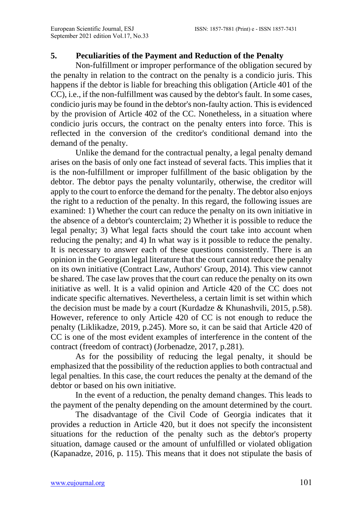#### **5. Peculiarities of the Payment and Reduction of the Penalty**

Non-fulfillment or improper performance of the obligation secured by the penalty in relation to the contract on the penalty is a condicio juris. This happens if the debtor is liable for breaching this obligation (Article 401 of the CC), i.e., if the non-fulfillment was caused by the debtor's fault. In some cases, condicio juris may be found in the debtor's non-faulty action. This is evidenced by the provision of Article 402 of the CC. Nonetheless, in a situation where condicio juris occurs, the contract on the penalty enters into force. This is reflected in the conversion of the creditor's conditional demand into the demand of the penalty.

Unlike the demand for the contractual penalty, a legal penalty demand arises on the basis of only one fact instead of several facts. This implies that it is the non-fulfillment or improper fulfillment of the basic obligation by the debtor. The debtor pays the penalty voluntarily, otherwise, the creditor will apply to the court to enforce the demand for the penalty. The debtor also enjoys the right to a reduction of the penalty. In this regard, the following issues are examined: 1) Whether the court can reduce the penalty on its own initiative in the absence of a debtor's counterclaim; 2) Whether it is possible to reduce the legal penalty; 3) What legal facts should the court take into account when reducing the penalty; and 4) In what way is it possible to reduce the penalty. It is necessary to answer each of these questions consistently. There is an opinion in the Georgian legal literature that the court cannot reduce the penalty on its own initiative (Contract Law, Authors' Group, 2014). This view cannot be shared. The case law proves that the court can reduce the penalty on its own initiative as well. It is a valid opinion and Article 420 of the CC does not indicate specific alternatives. Nevertheless, a certain limit is set within which the decision must be made by a court (Kurdadze & Khunashvili, 2015, p.58). However, reference to only Article 420 of CC is not enough to reduce the penalty (Liklikadze, 2019, p.245). More so, it can be said that Article 420 of CC is one of the most evident examples of interference in the content of the contract (freedom of contract) (Jorbenadze, 2017, p.281).

As for the possibility of reducing the legal penalty, it should be emphasized that the possibility of the reduction applies to both contractual and legal penalties. In this case, the court reduces the penalty at the demand of the debtor or based on his own initiative.

In the event of a reduction, the penalty demand changes. This leads to the payment of the penalty depending on the amount determined by the court.

The disadvantage of the Civil Code of Georgia indicates that it provides a reduction in Article 420, but it does not specify the inconsistent situations for the reduction of the penalty such as the debtor's property situation, damage caused or the amount of unfulfilled or violated obligation (Kapanadze, 2016, p. 115). This means that it does not stipulate the basis of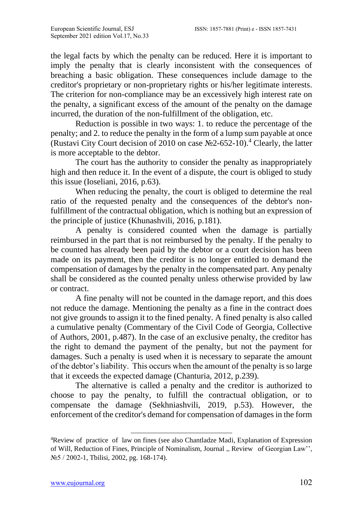the legal facts by which the penalty can be reduced. Here it is important to imply the penalty that is clearly inconsistent with the consequences of breaching a basic obligation. These consequences include damage to the creditor's proprietary or non-proprietary rights or his/her legitimate interests. The criterion for non-compliance may be an excessively high interest rate on the penalty, a significant excess of the amount of the penalty on the damage incurred, the duration of the non-fulfillment of the obligation, etc.

Reduction is possible in two ways: 1. to reduce the percentage of the penalty; and 2. to reduce the penalty in the form of a lump sum payable at once (Rustavi City Court decision of 2010 on case  $N_2$ -652-10).<sup>4</sup> Clearly, the latter is more acceptable to the debtor.

The court has the authority to consider the penalty as inappropriately high and then reduce it. In the event of a dispute, the court is obliged to study this issue (Ioseliani, 2016, p.63).

When reducing the penalty, the court is obliged to determine the real ratio of the requested penalty and the consequences of the debtor's nonfulfillment of the contractual obligation, which is nothing but an expression of the principle of justice (Khunashvili, 2016, p.181).

A penalty is considered counted when the damage is partially reimbursed in the part that is not reimbursed by the penalty. If the penalty to be counted has already been paid by the debtor or a court decision has been made on its payment, then the creditor is no longer entitled to demand the compensation of damages by the penalty in the compensated part. Any penalty shall be considered as the counted penalty unless otherwise provided by law or contract.

A fine penalty will not be counted in the damage report, and this does not reduce the damage. Mentioning the penalty as a fine in the contract does not give grounds to assign it to the fined penalty. A fined penalty is also called a cumulative penalty (Commentary of the Civil Code of Georgia, Collective of Authors, 2001, p.487). In the case of an exclusive penalty, the creditor has the right to demand the payment of the penalty, but not the payment for damages. Such a penalty is used when it is necessary to separate the amount of the debtor's liability. This occurs when the amount of the penalty is so large that it exceeds the expected damage (Chanturia, 2012, p.239).

The alternative is called a penalty and the creditor is authorized to choose to pay the penalty, to fulfill the contractual obligation, or to compensate the damage (Sekhniashvili, 2019, p.53). However, the enforcement of the creditor's demand for compensation of damages in the form

<sup>4</sup>Review of practice of law on fines (see also Chantladze Madi, Explanation of Expression of Will, Reduction of Fines, Principle of Nominalism, Journal ,, Review of Georgian Law'', №5 / 2002-1, Tbilisi, 2002, pg. 168-174).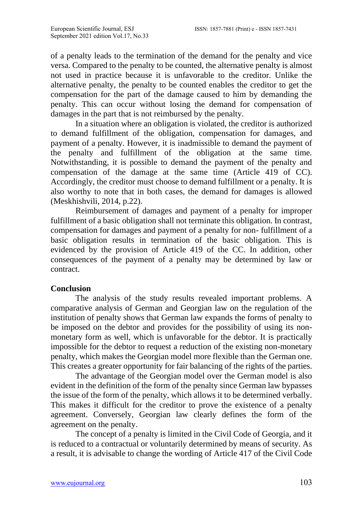of a penalty leads to the termination of the demand for the penalty and vice versa. Compared to the penalty to be counted, the alternative penalty is almost not used in practice because it is unfavorable to the creditor. Unlike the alternative penalty, the penalty to be counted enables the creditor to get the compensation for the part of the damage caused to him by demanding the penalty. This can occur without losing the demand for compensation of damages in the part that is not reimbursed by the penalty.

In a situation where an obligation is violated, the creditor is authorized to demand fulfillment of the obligation, compensation for damages, and payment of a penalty. However, it is inadmissible to demand the payment of the penalty and fulfillment of the obligation at the same time. Notwithstanding, it is possible to demand the payment of the penalty and compensation of the damage at the same time (Article 419 of CC). Accordingly, the creditor must choose to demand fulfillment or a penalty. It is also worthy to note that in both cases, the demand for damages is allowed (Meskhishvili, 2014, p.22).

Reimbursement of damages and payment of a penalty for improper fulfillment of a basic obligation shall not terminate this obligation. In contrast, compensation for damages and payment of a penalty for non- fulfillment of a basic obligation results in termination of the basic obligation. This is evidenced by the provision of Article 419 of the CC. In addition, other consequences of the payment of a penalty may be determined by law or contract.

### **Conclusion**

The analysis of the study results revealed important problems. A comparative analysis of German and Georgian law on the regulation of the institution of penalty shows that German law expands the forms of penalty to be imposed on the debtor and provides for the possibility of using its nonmonetary form as well, which is unfavorable for the debtor. It is practically impossible for the debtor to request a reduction of the existing non-monetary penalty, which makes the Georgian model more flexible than the German one. This creates a greater opportunity for fair balancing of the rights of the parties.

The advantage of the Georgian model over the German model is also evident in the definition of the form of the penalty since German law bypasses the issue of the form of the penalty, which allows it to be determined verbally. This makes it difficult for the creditor to prove the existence of a penalty agreement. Conversely, Georgian law clearly defines the form of the agreement on the penalty.

The concept of a penalty is limited in the Civil Code of Georgia, and it is reduced to a contractual or voluntarily determined by means of security. As a result, it is advisable to change the wording of Article 417 of the Civil Code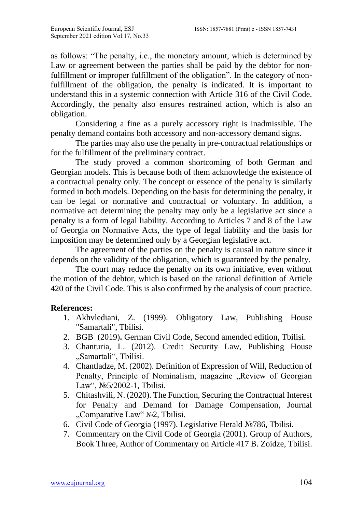as follows: "The penalty, i.e., the monetary amount, which is determined by Law or agreement between the parties shall be paid by the debtor for nonfulfillment or improper fulfillment of the obligation". In the category of nonfulfillment of the obligation, the penalty is indicated. It is important to understand this in a systemic connection with Article 316 of the Civil Code. Accordingly, the penalty also ensures restrained action, which is also an obligation.

Considering a fine as a purely accessory right is inadmissible. The penalty demand contains both accessory and non-accessory demand signs.

The parties may also use the penalty in pre-contractual relationships or for the fulfillment of the preliminary contract.

The study proved a common shortcoming of both German and Georgian models. This is because both of them acknowledge the existence of a contractual penalty only. The concept or essence of the penalty is similarly formed in both models. Depending on the basis for determining the penalty, it can be legal or normative and contractual or voluntary. In addition, a normative act determining the penalty may only be a legislative act since a penalty is a form of legal liability. According to Articles 7 and 8 of the Law of Georgia on Normative Acts, the type of legal liability and the basis for imposition may be determined only by a Georgian legislative act.

The agreement of the parties on the penalty is causal in nature since it depends on the validity of the obligation, which is guaranteed by the penalty.

The court may reduce the penalty on its own initiative, even without the motion of the debtor, which is based on the rational definition of Article 420 of the Civil Code. This is also confirmed by the analysis of court practice.

### **References:**

- 1. Akhvlediani, Z. (1999). Obligatory Law, Publishing House "Samartali", Tbilisi.
- 2. BGB (2019)**.** German Civil Code, Second amended edition, Tbilisi.
- 3. Chanturia, L. (2012). Credit Security Law, Publishing House "Samartali", Tbilisi.
- 4. Chantladze, M. (2002). Definition of Expression of Will, Reduction of Penalty, Principle of Nominalism, magazine "Review of Georgian Law", №5/2002-1, Tbilisi.
- 5. Chitashvili, N. (2020). The Function, Securing the Contractual Interest for Penalty and Demand for Damage Compensation, Journal "Comparative Law" №2, Tbilisi.
- 6. Civil Code of Georgia (1997). Legislative Herald №786, Tbilisi.
- 7. Commentary on the Civil Code of Georgia (2001). Group of Authors, Book Three, Author of Commentary on Article 417 B. Zoidze, Tbilisi.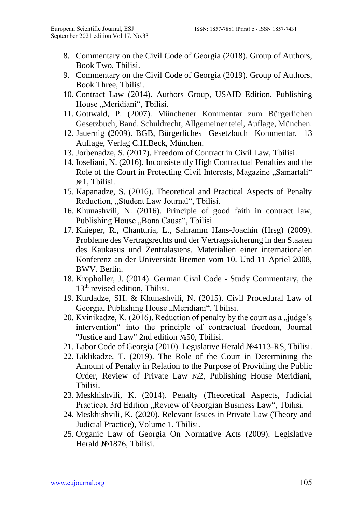- 8. Commentary on the Civil Code of Georgia (2018). Group of Authors, Book Two, Tbilisi.
- 9. Commentary on the Civil Code of Georgia (2019). Group of Authors, Book Three, Tbilisi.
- 10. Contract Law (2014). Authors Group, USAID Edition, Publishing House "Meridiani", Tbilisi.
- 11. Gottwald, P. (2007). Münchener Kommentar zum Bürgerlichen Gesetzbuch, Band. Schuldrecht, Allgemeiner teiel, Auflage, München.
- 12. Jauernig **(**2009). BGB, Bürgerliches Gesetzbuch Kommentar, 13 Auflage, Verlag C.H.Beck, München.
- 13. Jorbenadze, S. (2017). Freedom of Contract in Civil Law, Tbilisi.
- 14. Ioseliani, N. (2016). Inconsistently High Contractual Penalties and the Role of the Court in Protecting Civil Interests, Magazine "Samartali" №1, Tbilisi.
- 15. Kapanadze, S. (2016). Theoretical and Practical Aspects of Penalty Reduction, "Student Law Journal", Tbilisi.
- 16. Khunashvili, N. (2016). Principle of good faith in contract law, Publishing House "Bona Causa", Tbilisi.
- 17. Knieper, R., Chanturia, L., Sahramm Hans-Joachin (Hrsg) (2009). Probleme des Vertragsrechts und der Vertragssicherung in den Staaten des Kaukasus und Zentralasiens. Materialien einer internationalen Konferenz an der Universität Bremen vom 10. Und 11 Apriel 2008, BWV. Berlin.
- 18. Kropholler, J. (2014). German Civil Code Study Commentary, the 13<sup>th</sup> revised edition, Tbilisi.
- 19. Kurdadze, SH. & Khunashvili, N. (2015). Civil Procedural Law of Georgia, Publishing House "Meridiani", Tbilisi.
- 20. Kvinikadze, K. (2016). Reduction of penalty by the court as a "judge's intervention" into the principle of contractual freedom, Journal "Justice and Law" 2nd edition №50, Tbilisi.
- 21. Labor Code of Georgia (2010). Legislative Herald №4113-RS, Tbilisi.
- 22. Liklikadze, T. (2019). The Role of the Court in Determining the Amount of Penalty in Relation to the Purpose of Providing the Public Order, Review of Private Law №2, Publishing House Meridiani, Tbilisi.
- 23. Meskhishvili, K. (2014). Penalty (Theoretical Aspects, Judicial Practice), 3rd Edition "Review of Georgian Business Law", Tbilisi.
- 24. Meskhishvili, K. (2020). Relevant Issues in Private Law (Theory and Judicial Practice), Volume 1, Tbilisi.
- 25. Organic Law of Georgia On Normative Acts (2009). Legislative Herald №1876, Tbilisi.